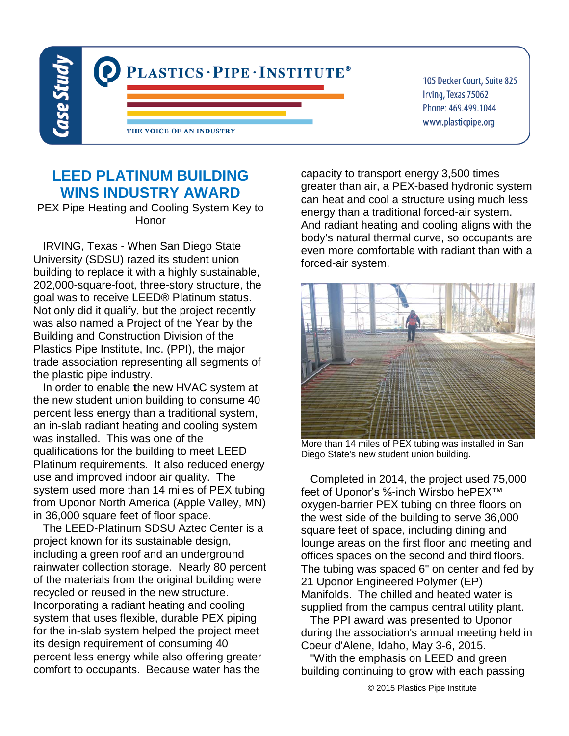

105 Decker Court, Suite 825 Irving, Texas 75062 Phone: 469.499.1044 www.plasticpipe.org

## **LEED PLATINUM BUILDING WINS INDUSTRY AWARD**

PEX Pipe Heating and Cooling System Key to Honor

 IRVING, Texas - When San Diego State University (SDSU) razed its student union building to replace it with a highly sustainable, 202,000-square-foot, three-story structure, the goal was to receive LEED® Platinum status. Not only did it qualify, but the project recently was also named a Project of the Year by the Building and Construction Division of the Plastics Pipe Institute, Inc. (PPI), the major trade association representing all segments of the plastic pipe industry.

 In order to enable **t**he new HVAC system at the new student union building to consume 40 percent less energy than a traditional system, an in-slab radiant heating and cooling system was installed. This was one of the qualifications for the building to meet LEED Platinum requirements. It also reduced energy use and improved indoor air quality. The system used more than 14 miles of PEX tubing from Uponor North America (Apple Valley, MN) in 36,000 square feet of floor space.

 The LEED-Platinum SDSU Aztec Center is a project known for its sustainable design, including a green roof and an underground rainwater collection storage. Nearly 80 percent of the materials from the original building were recycled or reused in the new structure. Incorporating a radiant heating and cooling system that uses flexible, durable PEX piping for the in-slab system helped the project meet its design requirement of consuming 40 percent less energy while also offering greater comfort to occupants. Because water has the

capacity to transport energy 3,500 times greater than air, a PEX-based hydronic system can heat and cool a structure using much less energy than a traditional forced-air system. And radiant heating and cooling aligns with the body's natural thermal curve, so occupants are even more comfortable with radiant than with a forced-air system.



More than 14 miles of PEX tubing was installed in San Diego State's new student union building.

 Completed in 2014, the project used 75,000 feet of Uponor's <sup>5</sup>⁄8-inch Wirsbo hePEX<sup>™</sup> oxygen-barrier PEX tubing on three floors on the west side of the building to serve 36,000 square feet of space, including dining and lounge areas on the first floor and meeting and offices spaces on the second and third floors. The tubing was spaced 6" on center and fed by 21 Uponor Engineered Polymer (EP) Manifolds. The chilled and heated water is supplied from the campus central utility plant.

 The PPI award was presented to Uponor during the association's annual meeting held in Coeur d'Alene, Idaho, May 3-6, 2015.

 "With the emphasis on LEED and green building continuing to grow with each passing

© 2015 Plastics Pipe Institute